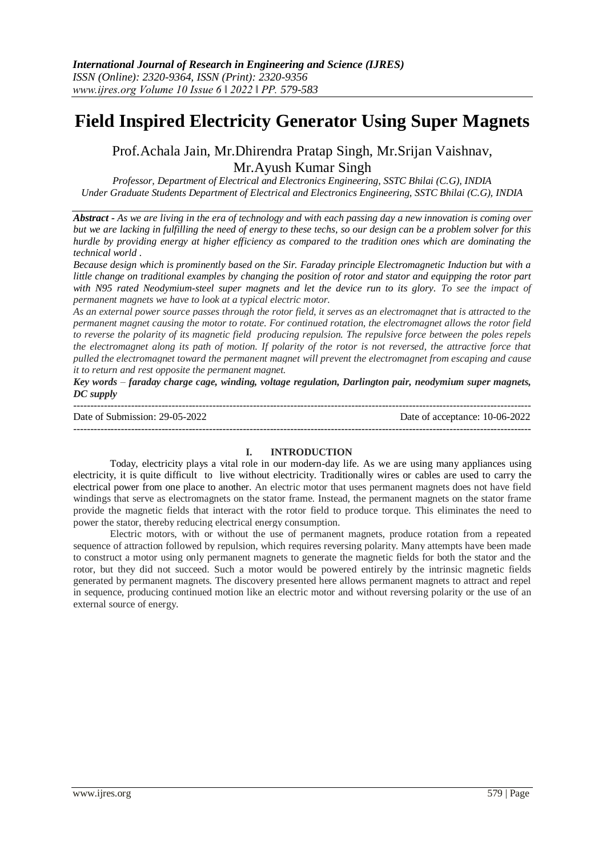# **Field Inspired Electricity Generator Using Super Magnets**

Prof.Achala Jain, Mr.Dhirendra Pratap Singh, Mr.Srijan Vaishnav, Mr.Ayush Kumar Singh

*Professor, Department of Electrical and Electronics Engineering, SSTC Bhilai (C.G), INDIA Under Graduate Students Department of Electrical and Electronics Engineering, SSTC Bhilai (C.G), INDIA*

*Abstract - As we are living in the era of technology and with each passing day a new innovation is coming over but we are lacking in fulfilling the need of energy to these techs, so our design can be a problem solver for this hurdle by providing energy at higher efficiency as compared to the tradition ones which are dominating the technical world .* 

*Because design which is prominently based on the Sir. Faraday principle Electromagnetic Induction but with a little change on traditional examples by changing the position of rotor and stator and equipping the rotor part with N95 rated Neodymium-steel super magnets and let the device run to its glory. To see the impact of permanent magnets we have to look at a typical electric motor.* 

*As an external power source passes through the rotor field, it serves as an electromagnet that is attracted to the permanent magnet causing the motor to rotate. For continued rotation, the electromagnet allows the rotor field to reverse the polarity of its magnetic field producing repulsion. The repulsive force between the poles repels the electromagnet along its path of motion. If polarity of the rotor is not reversed, the attractive force that pulled the electromagnet toward the permanent magnet will prevent the electromagnet from escaping and cause it to return and rest opposite the permanent magnet.*

*Key words – faraday charge cage, winding, voltage regulation, Darlington pair, neodymium super magnets, DC supply* ---------------------------------------------------------------------------------------------------------------------------------------

Date of Submission: 29-05-2022 Date of acceptance: 10-06-2022

---------------------------------------------------------------------------------------------------------------------------------------

### **I. INTRODUCTION**

Today, electricity plays a vital role in our modern-day life. As we are using many appliances using electricity, it is quite difficult to live without electricity. Traditionally wires or cables are used to carry the electrical power from one place to another. An electric motor that uses permanent magnets does not have field windings that serve as electromagnets on the stator frame. Instead, the permanent magnets on the stator frame provide the magnetic fields that interact with the rotor field to produce torque. This eliminates the need to power the stator, thereby reducing electrical energy consumption.

Electric motors, with or without the use of permanent magnets, produce rotation from a repeated sequence of attraction followed by repulsion, which requires reversing polarity. Many attempts have been made to construct a motor using only permanent magnets to generate the magnetic fields for both the stator and the rotor, but they did not succeed. Such a motor would be powered entirely by the intrinsic magnetic fields generated by permanent magnets. The discovery presented here allows permanent magnets to attract and repel in sequence, producing continued motion like an electric motor and without reversing polarity or the use of an external source of energy.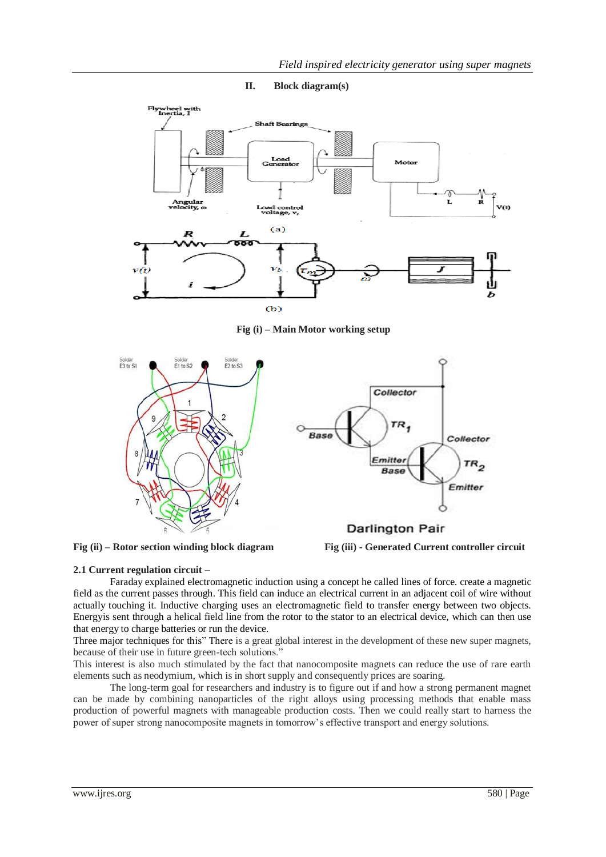



**Fig (i) – Main Motor working setup** 





### **2.1 Current regulation circuit** –

Faraday explained electromagnetic induction using a concept he called lines of force. create a magnetic field as the current passes through. This field can induce an electrical current in an adjacent coil of wire without actually touching it. Inductive charging uses an electromagnetic field to transfer energy between two objects. Energyis sent through a helical field line from the rotor to the stator to an electrical device, which can then use that energy to charge batteries or run the device.

Three major techniques for this" There is a great global interest in the development of these new super magnets, because of their use in future green-tech solutions."

This interest is also much stimulated by the fact that nanocomposite magnets can reduce the use of rare earth elements such as neodymium, which is in short supply and consequently prices are soaring.

The long-term goal for researchers and industry is to figure out if and how a strong permanent magnet can be made by combining nanoparticles of the right alloys using processing methods that enable mass production of powerful magnets with manageable production costs. Then we could really start to harness the power of super strong nanocomposite magnets in tomorrow's effective transport and energy solutions.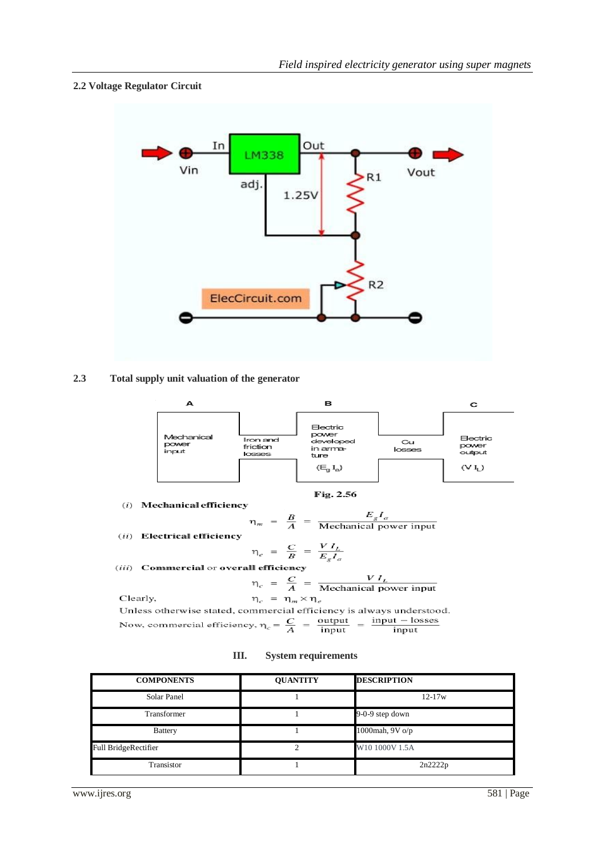### **2.2 Voltage Regulator Circuit**



## **2.3 Total supply unit valuation of the generator**



Unless otherwise stated, commercial efficiency is always understood. Now, commercial efficiency,  $\eta_c = \frac{C}{A} = \frac{\text{output}}{\text{input}} = \frac{\text{input} - \text{losses}}{\text{input}}$ input

|  | Ш. |  | <b>System requirements</b> |
|--|----|--|----------------------------|
|--|----|--|----------------------------|

| <b>COMPONENTS</b>           | <b>QUANTITY</b> | <b>DESCRIPTION</b> |
|-----------------------------|-----------------|--------------------|
| Solar Panel                 |                 | $12 - 17w$         |
| Transformer                 |                 | 9-0-9 step down    |
| <b>Battery</b>              |                 | 1000mah, 9V o/p    |
| <b>Full BridgeRectifier</b> |                 | W10 1000V 1.5A     |
| Transistor                  |                 | 2n2222p            |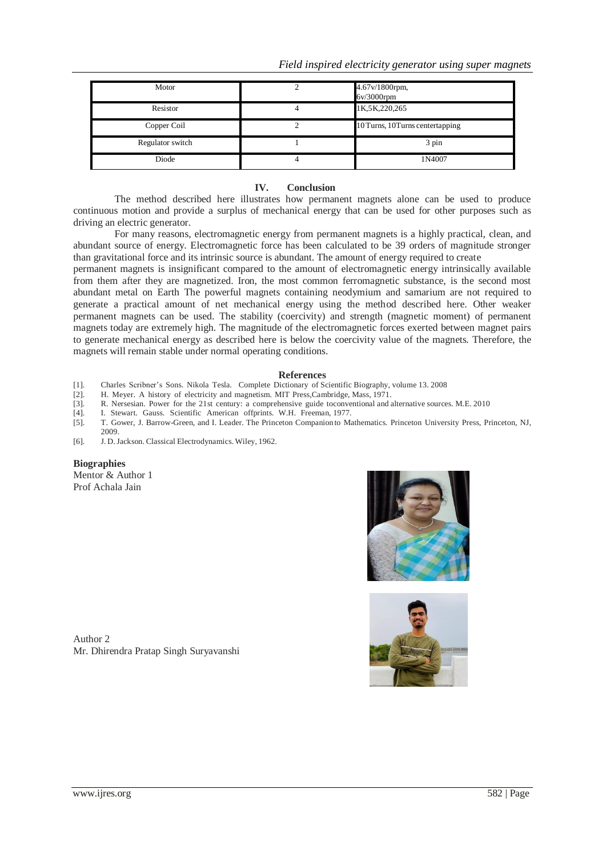*Field inspired electricity generator using super magnets*

| Motor            | 4.67v/1800rpm,<br>$6v/3000$ rpm  |
|------------------|----------------------------------|
| Resistor         | 1K, 5K, 220, 265                 |
| Copper Coil      | 10 Turns, 10 Turns centertapping |
| Regulator switch | 3 pin                            |
| Diode            | 1N4007                           |

### **IV. Conclusion**

The method described here illustrates how permanent magnets alone can be used to produce continuous motion and provide a surplus of mechanical energy that can be used for other purposes such as driving an electric generator.

For many reasons, electromagnetic energy from permanent magnets is a highly practical, clean, and abundant source of energy. Electromagnetic force has been calculated to be 39 orders of magnitude stronger than gravitational force and its intrinsic source is abundant. The amount of energy required to create

permanent magnets is insignificant compared to the amount of electromagnetic energy intrinsically available from them after they are magnetized. Iron, the most common ferromagnetic substance, is the second most abundant metal on Earth The powerful magnets containing neodymium and samarium are not required to generate a practical amount of net mechanical energy using the method described here. Other weaker permanent magnets can be used. The stability (coercivity) and strength (magnetic moment) of permanent magnets today are extremely high. The magnitude of the electromagnetic forces exerted between magnet pairs to generate mechanical energy as described here is below the coercivity value of the magnets. Therefore, the magnets will remain stable under normal operating conditions.

#### **References**

- [1]. Charles Scribner's Sons. Nikola Tesla. Complete Dictionary of Scientific Biography, volume 13. 2008
- [2]. H. Meyer. A history of electricity and magnetism. MIT Press,Cambridge, Mass, 1971.
- [3]. R. Nersesian. Power for the 21st century: a comprehensive guide toconventional and alternative sources. M.E. 2010
- [4]. I. Stewart. Gauss. Scientific American offprints. W.H. Freeman, 1977.
- [5]. T. Gower, J. Barrow-Green, and I. Leader. The Princeton Companion to Mathematics. Princeton University Press, Princeton, NJ, 2009.
- [6]. J. D.Jackson. Classical Electrodynamics.Wiley, 1962.

### **Biographies**

Mentor & Author 1 Prof Achala Jain





Author 2 Mr. Dhirendra Pratap Singh Suryavanshi